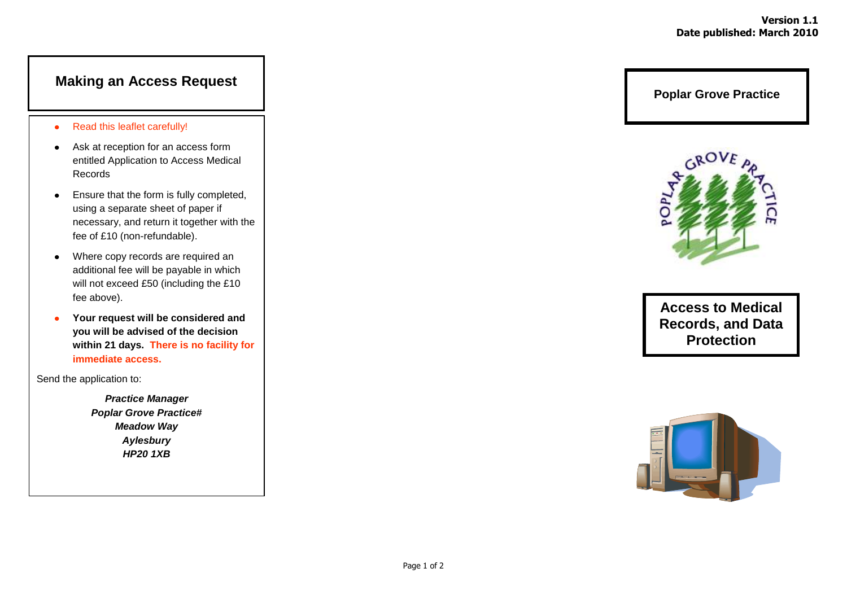# **Making an Access Request**

- Read this leaflet carefully!  $\bullet$
- Ask at reception for an access form entitled Application to Access Medical Records
- Ensure that the form is fully completed,  $\bullet$ using a separate sheet of paper if necessary, and return it together with the fee of £10 (non-refundable).
- Where copy records are required an  $\bullet$ additional fee will be payable in which will not exceed £50 (including the £10 fee above).
- **Your request will be considered and**   $\bullet$ **you will be advised of the decision within 21 days. There is no facility for immediate access.**

Send the application to:

*Practice Manager Poplar Grove Practice# Meadow Way Aylesbury HP20 1XB*

**Poplar Grove Practice**



**Access to Medical Records, and Data Protection**